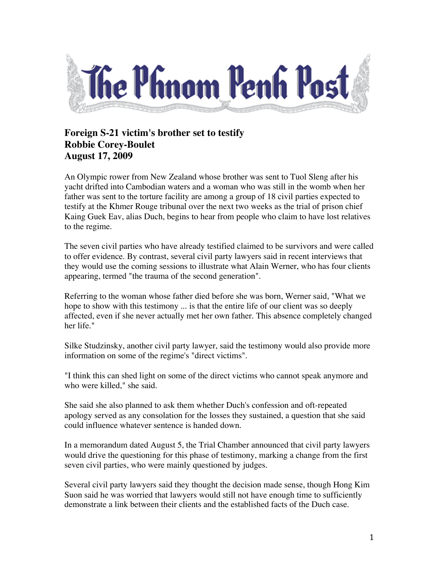

## **Foreign S-21 victim's brother set to testify Robbie Corey-Boulet August 17, 2009**

An Olympic rower from New Zealand whose brother was sent to Tuol Sleng after his yacht drifted into Cambodian waters and a woman who was still in the womb when her father was sent to the torture facility are among a group of 18 civil parties expected to testify at the Khmer Rouge tribunal over the next two weeks as the trial of prison chief Kaing Guek Eav, alias Duch, begins to hear from people who claim to have lost relatives to the regime.

The seven civil parties who have already testified claimed to be survivors and were called to offer evidence. By contrast, several civil party lawyers said in recent interviews that they would use the coming sessions to illustrate what Alain Werner, who has four clients appearing, termed "the trauma of the second generation".

Referring to the woman whose father died before she was born, Werner said, "What we hope to show with this testimony ... is that the entire life of our client was so deeply affected, even if she never actually met her own father. This absence completely changed her life."

Silke Studzinsky, another civil party lawyer, said the testimony would also provide more information on some of the regime's "direct victims".

"I think this can shed light on some of the direct victims who cannot speak anymore and who were killed," she said.

She said she also planned to ask them whether Duch's confession and oft-repeated apology served as any consolation for the losses they sustained, a question that she said could influence whatever sentence is handed down.

In a memorandum dated August 5, the Trial Chamber announced that civil party lawyers would drive the questioning for this phase of testimony, marking a change from the first seven civil parties, who were mainly questioned by judges.

Several civil party lawyers said they thought the decision made sense, though Hong Kim Suon said he was worried that lawyers would still not have enough time to sufficiently demonstrate a link between their clients and the established facts of the Duch case.